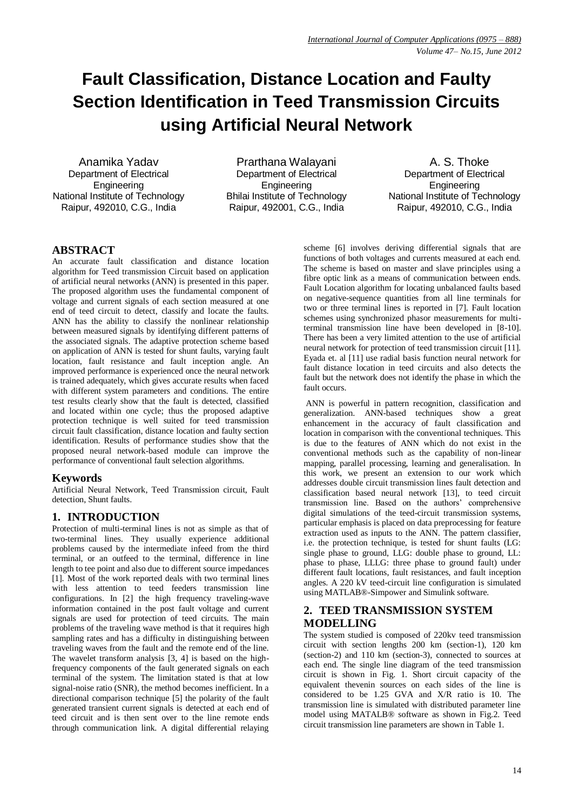# **Fault Classification, Distance Location and Faulty Section Identification in Teed Transmission Circuits using Artificial Neural Network**

Anamika Yadav Department of Electrical **Engineering** National Institute of Technology Raipur, 492010, C.G., India

Prarthana Walayani Department of Electrical **Engineering** Bhilai Institute of Technology Raipur, 492001, C.G., India

A. S. Thoke Department of Electrical **Engineering** National Institute of Technology Raipur, 492010, C.G., India

# **ABSTRACT**

An accurate fault classification and distance location algorithm for Teed transmission Circuit based on application of artificial neural networks (ANN) is presented in this paper. The proposed algorithm uses the fundamental component of voltage and current signals of each section measured at one end of teed circuit to detect, classify and locate the faults. ANN has the ability to classify the nonlinear relationship between measured signals by identifying different patterns of the associated signals. The adaptive protection scheme based on application of ANN is tested for shunt faults, varying fault location, fault resistance and fault inception angle. An improved performance is experienced once the neural network is trained adequately, which gives accurate results when faced with different system parameters and conditions. The entire test results clearly show that the fault is detected, classified and located within one cycle; thus the proposed adaptive protection technique is well suited for teed transmission circuit fault classification, distance location and faulty section identification. Results of performance studies show that the proposed neural network-based module can improve the performance of conventional fault selection algorithms.

# **Keywords**

Artificial Neural Network, Teed Transmission circuit, Fault detection, Shunt faults.

# **1. INTRODUCTION**

Protection of multi-terminal lines is not as simple as that of two-terminal lines. They usually experience additional problems caused by the intermediate infeed from the third terminal, or an outfeed to the terminal, difference in line length to tee point and also due to different source impedances [1]. Most of the work reported deals with two terminal lines with less attention to teed feeders transmission line configurations. In [2] the high frequency traveling-wave information contained in the post fault voltage and current signals are used for protection of teed circuits. The main problems of the traveling wave method is that it requires high sampling rates and has a difficulty in distinguishing between traveling waves from the fault and the remote end of the line. The wavelet transform analysis [3, 4] is based on the highfrequency components of the fault generated signals on each terminal of the system. The limitation stated is that at low signal-noise ratio (SNR), the method becomes inefficient. In a directional comparison technique [5] the polarity of the fault generated transient current signals is detected at each end of teed circuit and is then sent over to the line remote ends through communication link. A digital differential relaying

scheme [6] involves deriving differential signals that are functions of both voltages and currents measured at each end. The scheme is based on master and slave principles using a fibre optic link as a means of communication between ends. Fault Location algorithm for locating unbalanced faults based on negative-sequence quantities from all line terminals for two or three terminal lines is reported in [7]. Fault location schemes using synchronized phasor measurements for multiterminal transmission line have been developed in [8-10]. There has been a very limited attention to the use of artificial neural network for protection of teed transmission circuit [11]. Eyada et. al [11] use radial basis function neural network for fault distance location in teed circuits and also detects the fault but the network does not identify the phase in which the fault occurs.

ANN is powerful in pattern recognition, classification and generalization. ANN-based techniques show a great enhancement in the accuracy of fault classification and location in comparison with the conventional techniques. This is due to the features of ANN which do not exist in the conventional methods such as the capability of non-linear mapping, parallel processing, learning and generalisation. In this work, we present an extension to our work which addresses double circuit transmission lines fault detection and classification based neural network [13], to teed circuit transmission line. Based on the authors' comprehensive digital simulations of the teed-circuit transmission systems, particular emphasis is placed on data preprocessing for feature extraction used as inputs to the ANN. The pattern classifier, i.e. the protection technique, is tested for shunt faults (LG: single phase to ground, LLG: double phase to ground, LL: phase to phase, LLLG: three phase to ground fault) under different fault locations, fault resistances, and fault inception angles. A 220 kV teed-circuit line configuration is simulated using MATLAB®-Simpower and Simulink software.

# **2. TEED TRANSMISSION SYSTEM MODELLING**

The system studied is composed of 220kv teed transmission circuit with section lengths 200 km (section-1), 120 km (section-2) and 110 km (section-3), connected to sources at each end. The single line diagram of the teed transmission circuit is shown in Fig. 1. Short circuit capacity of the equivalent thevenin sources on each sides of the line is considered to be 1.25 GVA and X/R ratio is 10. The transmission line is simulated with distributed parameter line model using MATALB® software as shown in Fig.2. Teed circuit transmission line parameters are shown in Table 1.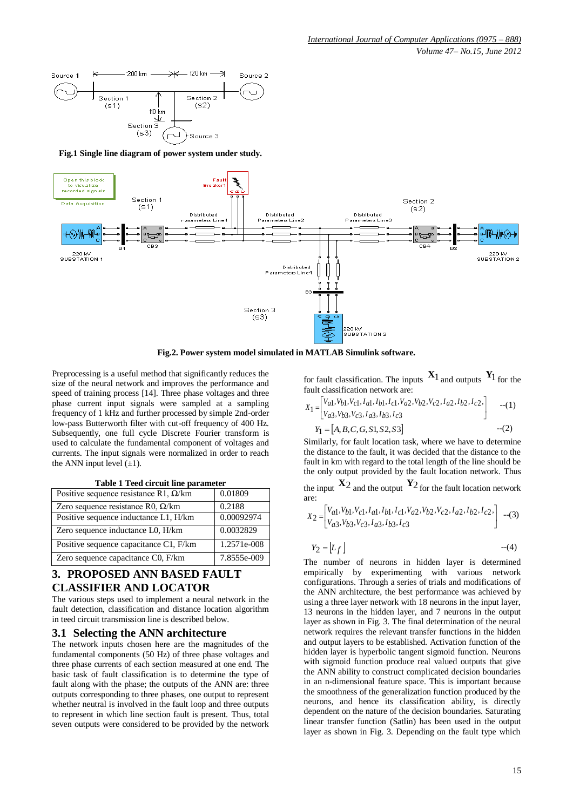

**Fig.1 Single line diagram of power system under study.**



**Fig.2. Power system model simulated in MATLAB Simulink software.**

Preprocessing is a useful method that significantly reduces the size of the neural network and improves the performance and speed of training process [14]. Three phase voltages and three phase current input signals were sampled at a sampling frequency of 1 kHz and further processed by simple 2nd-order low-pass Butterworth filter with cut-off frequency of 400 Hz. Subsequently, one full cycle Discrete Fourier transform is used to calculate the fundamental component of voltages and currents. The input signals were normalized in order to reach the ANN input level  $(\pm 1)$ .

| Positive sequence resistance R1, $\Omega$ /km | 0.01809     |
|-----------------------------------------------|-------------|
| Zero sequence resistance R0, $\Omega$ /km     | 0.2188      |
| Positive sequence inductance L1, H/km         | 0.00092974  |
| Zero sequence inductance L0, H/km             | 0.0032829   |
| Positive sequence capacitance C1, F/km        | 1.2571e-008 |
| Zero sequence capacitance C0, F/km            | 7.8555e-009 |

**Table 1 Teed circuit line parameter**

# **3. PROPOSED ANN BASED FAULT CLASSIFIER AND LOCATOR**

The various steps used to implement a neural network in the fault detection, classification and distance location algorithm in teed circuit transmission line is described below.

#### **3.1 Selecting the ANN architecture**

The network inputs chosen here are the magnitudes of the fundamental components (50 Hz) of three phase voltages and three phase currents of each section measured at one end. The basic task of fault classification is to determine the type of fault along with the phase; the outputs of the ANN are: three outputs corresponding to three phases, one output to represent whether neutral is involved in the fault loop and three outputs to represent in which line section fault is present. Thus, total seven outputs were considered to be provided by the network

for fault classification. The inputs  $X_1$  and outputs  $Y_1$  for the fault classification network are:

$$
X_1 = \begin{bmatrix} V_{a1}, V_{b1}, V_{c1}, I_{a1}, I_{b1}, I_{c1}, V_{a2}, V_{b2}, V_{c2}, I_{a2}, I_{b2}, I_{c2}, \\ V_{a3}, V_{b3}, V_{c3}, I_{a3}, I_{b3}, I_{c3} \end{bmatrix}
$$
---(1)  

$$
Y_1 = [A, B, C, G, S1, S2, S3]
$$
---(2)

Similarly, for fault location task, where we have to determine the distance to the fault, it was decided that the distance to the fault in km with regard to the total length of the line should be the only output provided by the fault location network. Thus

the input  $X_2$  and the output  $Y_2$  for the fault location network are:

$$
X_2 = \begin{bmatrix} V_{a1}, V_{b1}, V_{c1}, I_{a1}, I_{b1}, I_{c1}, V_{a2}, V_{b2}, V_{c2}, I_{a2}, I_{b2}, I_{c2}, \\ V_{a3}, V_{b3}, V_{c3}, I_{a3}, I_{b3}, I_{c3} \end{bmatrix}
$$
 -(3)

$$
Y_2 = \lfloor L_f \rfloor \tag{4}
$$

The number of neurons in hidden layer is determined empirically by experimenting with various network configurations. Through a series of trials and modifications of the ANN architecture, the best performance was achieved by using a three layer network with 18 neurons in the input layer, 13 neurons in the hidden layer, and 7 neurons in the output layer as shown in Fig. 3. The final determination of the neural network requires the relevant transfer functions in the hidden and output layers to be established. Activation function of the hidden layer is hyperbolic tangent sigmoid function. Neurons with sigmoid function produce real valued outputs that give the ANN ability to construct complicated decision boundaries in an n-dimensional feature space. This is important because the smoothness of the generalization function produced by the neurons, and hence its classification ability, is directly dependent on the nature of the decision boundaries. Saturating linear transfer function (Satlin) has been used in the output layer as shown in Fig. 3. Depending on the fault type which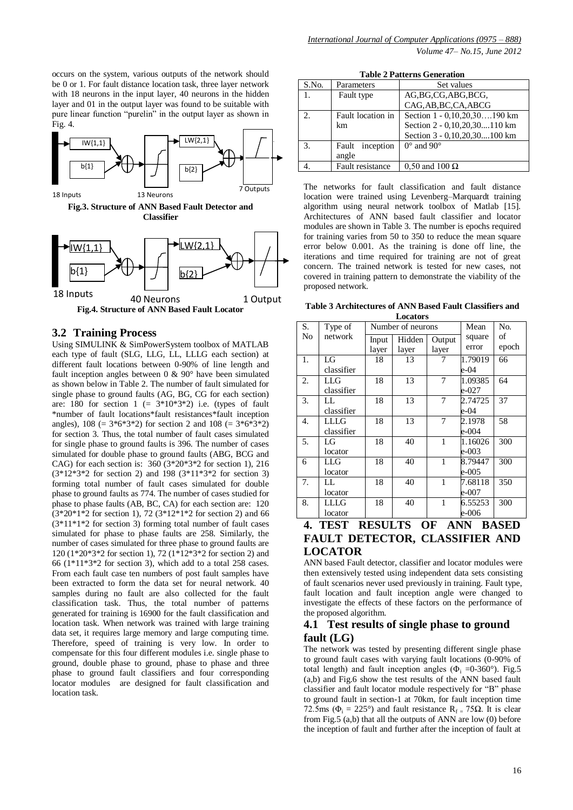occurs on the system, various outputs of the network should be 0 or 1. For fault distance location task, three layer network with 18 neurons in the input layer, 40 neurons in the hidden layer and 01 in the output layer was found to be suitable with pure linear function "purelin" in the output layer as shown in Fig. 4.



**Fig.4. Structure of ANN Based Fault Locator**  $|b\{1\}$  $bb{l}2$ 18 Inputs 40 Neurons 1 Output

#### **3.2 Training Process**

Using SIMULINK & SimPowerSystem toolbox of MATLAB each type of fault (SLG, LLG, LL, LLLG each section) at different fault locations between 0-90% of line length and fault inception angles between 0 & 90° have been simulated as shown below in Table 2. The number of fault simulated for single phase to ground faults (AG, BG, CG for each section) are: 180 for section  $1 (= 3*10*3*2)$  i.e. (types of fault \*number of fault locations\*fault resistances\*fault inception angles),  $108 (= 3*6*3*2)$  for section 2 and  $108 (= 3*6*3*2)$ for section 3. Thus, the total number of fault cases simulated for single phase to ground faults is 396. The number of cases simulated for double phase to ground faults (ABG, BCG and CAG) for each section is: 360 (3\*20\*3\*2 for section 1), 216 (3\*12\*3\*2 for section 2) and 198 (3\*11\*3\*2 for section 3) forming total number of fault cases simulated for double phase to ground faults as 774. The number of cases studied for phase to phase faults (AB, BC, CA) for each section are: 120  $(3*20*1*2$  for section 1), 72  $(3*12*1*2$  for section 2) and 66  $(3*11*1*2$  for section 3) forming total number of fault cases simulated for phase to phase faults are 258. Similarly, the number of cases simulated for three phase to ground faults are 120 (1\*20\*3\*2 for section 1), 72 ( $1*12*3*2$  for section 2) and 66 (1\*11\*3\*2 for section 3), which add to a total 258 cases. From each fault case ten numbers of post fault samples have been extracted to form the data set for neural network. 40 samples during no fault are also collected for the fault classification task. Thus, the total number of patterns generated for training is 16900 for the fault classification and location task. When network was trained with large training data set, it requires large memory and large computing time. Therefore, speed of training is very low. In order to compensate for this four different modules i.e. single phase to ground, double phase to ground, phase to phase and three phase to ground fault classifiers and four corresponding locator modules are designed for fault classification and location task.

| <b>Table 2 Patterns Generation</b> |                    |                              |  |  |  |  |  |  |  |
|------------------------------------|--------------------|------------------------------|--|--|--|--|--|--|--|
| S.No.                              | Parameters         | Set values                   |  |  |  |  |  |  |  |
|                                    | Fault type         | AG, BG, CG, ABG, BCG,        |  |  |  |  |  |  |  |
|                                    |                    | CAG, AB, BC, CA, ABCG        |  |  |  |  |  |  |  |
| $\mathcal{D}$                      | Fault location in  | Section 1 - 0,10,20,30190 km |  |  |  |  |  |  |  |
|                                    | km                 | Section 2 - 0,10,20,30110 km |  |  |  |  |  |  |  |
|                                    |                    | Section 3 - 0,10,20,30100 km |  |  |  |  |  |  |  |
| 3.                                 | inception<br>Fault | $0^{\circ}$ and $90^{\circ}$ |  |  |  |  |  |  |  |
|                                    | angle              |                              |  |  |  |  |  |  |  |
|                                    | Fault resistance   | $0.50$ and $100 \Omega$      |  |  |  |  |  |  |  |

The networks for fault classification and fault distance location were trained using Levenberg–Marquardt training algorithm using neural network toolbox of Matlab [15]. Architectures of ANN based fault classifier and locator modules are shown in Table 3. The number is epochs required for training varies from 50 to 350 to reduce the mean square error below 0.001. As the training is done off line, the iterations and time required for training are not of great concern. The trained network is tested for new cases, not covered in training pattern to demonstrate the viability of the proposed network.

**Table 3 Architectures of ANN Based Fault Classifiers and Locators**

| S.               | Type of     |                           | Number of neurons | Mean                                         | No.        |       |
|------------------|-------------|---------------------------|-------------------|----------------------------------------------|------------|-------|
| No               | network     | Hidden<br>Input<br>Output |                   |                                              | square     | οf    |
|                  |             | layer                     | layer             | layer                                        | error      | epoch |
| 1.               | LG          | 18                        | 13                | 7                                            | 1.79019    | 66    |
|                  | classifier  |                           |                   |                                              | e-04       |       |
| 2.               | LLG         | 18                        | 13                | 7                                            | 1.09385    | 64    |
|                  | classifier  |                           |                   |                                              | e-027      |       |
| 3.               | LL          | 18                        | 13                | 7                                            | 2.74725    | 37    |
|                  | classifier  |                           |                   |                                              | e-04       |       |
| 4.               | <b>LLLG</b> | 18                        | 13                | 7                                            | 2.1978     | 58    |
|                  | classifier  |                           |                   |                                              | e-004      |       |
| 5.               | LG          | 18                        | 40                | $\mathbf{1}$                                 | 1.16026    | 300   |
|                  | locator     |                           |                   |                                              | e-003      |       |
| 6                | <b>LLG</b>  | 18                        | 40                | 1                                            | 8.79447    | 300   |
|                  | locator     |                           |                   |                                              | e-005      |       |
| 7.               | LL.         | 18                        | 40                | 1                                            | 7.68118    | 350   |
|                  | locator     |                           |                   |                                              | e-007      |       |
| 8.               | LLLG        | 18                        | 40                | 1                                            | 6.55253    | 300   |
|                  | locator     |                           |                   |                                              | e-006      |       |
| $\boldsymbol{A}$ | TITOT       | DECHI TC                  |                   | $\boldsymbol{\Lambda}$ $\boldsymbol{\Gamma}$ | ANNI DACED |       |

### **4. TEST RESULTS OF ANN BASED FAULT DETECTOR, CLASSIFIER AND LOCATOR**

ANN based Fault detector, classifier and locator modules were then extensively tested using independent data sets consisting of fault scenarios never used previously in training. Fault type, fault location and fault inception angle were changed to investigate the effects of these factors on the performance of the proposed algorithm.

## **4.1 Test results of single phase to ground fault (LG)**

The network was tested by presenting different single phase to ground fault cases with varying fault locations (0-90% of total length) and fault inception angles ( $\Phi$ <sub>i</sub> =0-360°). Fig.5 (a,b) and Fig.6 show the test results of the ANN based fault classifier and fault locator module respectively for "B" phase to ground fault in section-1 at 70km, for fault inception time 72.5ms ( $\Phi_i = 225^\circ$ ) and fault resistance  $R_f = 75\Omega$ . It is clear from Fig.5 (a,b) that all the outputs of ANN are low (0) before the inception of fault and further after the inception of fault at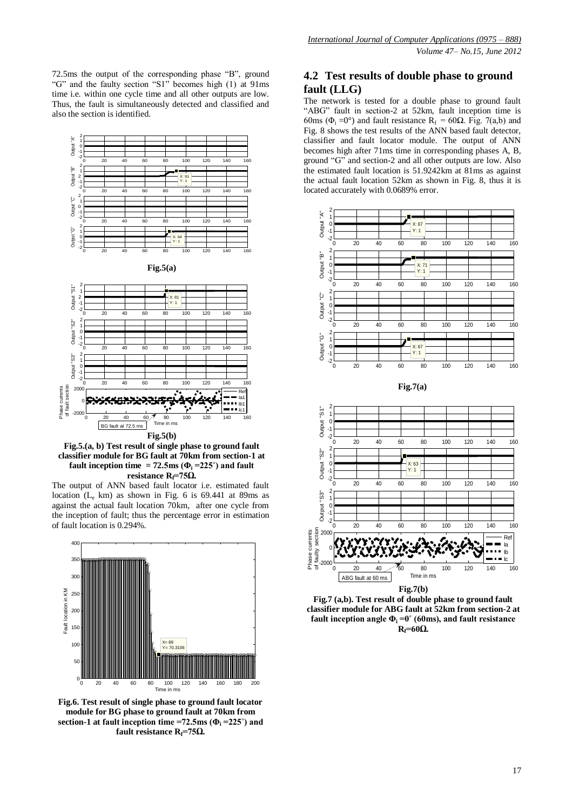72.5ms the output of the corresponding phase "B", ground "G" and the faulty section "S1" becomes high (1) at 91ms time i.e. within one cycle time and all other outputs are low. Thus, the fault is simultaneously detected and classified and also the section is identified.



**Fig.5.(a, b) Test result of single phase to ground fault classifier module for BG fault at 70km from section-1 at fault inception time = 72.5ms (** $\Phi$ **<sup>i</sup> = 225<sup>°</sup>) and fault resistance Rf=75Ω.**

The output of ANN based fault locator i.e. estimated fault location  $(L_e \text{ km})$  as shown in Fig. 6 is 69.441 at 89ms as against the actual fault location 70km, after one cycle from the inception of fault; thus the percentage error in estimation of fault location is 0.294%.



**Fig.6. Test result of single phase to ground fault locator module for BG phase to ground fault at 70km from section-1 at fault inception time =72.5ms (** $\Phi$ **<sup>i</sup> =225°) and fault resistance Rf=75Ω.**

## **4.2 Test results of double phase to ground fault (LLG)**

The network is tested for a double phase to ground fault "ABG" fault in section-2 at 52km, fault inception time is 60ms ( $\Phi$ <sub>i</sub> = 0°) and fault resistance R<sub>f</sub> = 60 $\Omega$ . Fig. 7(a,b) and Fig. 8 shows the test results of the ANN based fault detector, classifier and fault locator module. The output of ANN becomes high after 71ms time in corresponding phases A, B, ground "G" and section-2 and all other outputs are low. Also the estimated fault location is 51.9242km at 81ms as against the actual fault location 52km as shown in Fig. 8, thus it is located accurately with 0.0689% error.



**Fig.7 (a,b). Test result of double phase to ground fault classifier module for ABG fault at 52km from section-2 at fault inception angle**  $\Phi_i = 0^\circ$  **(60ms), and fault resistance Rf=60Ω.**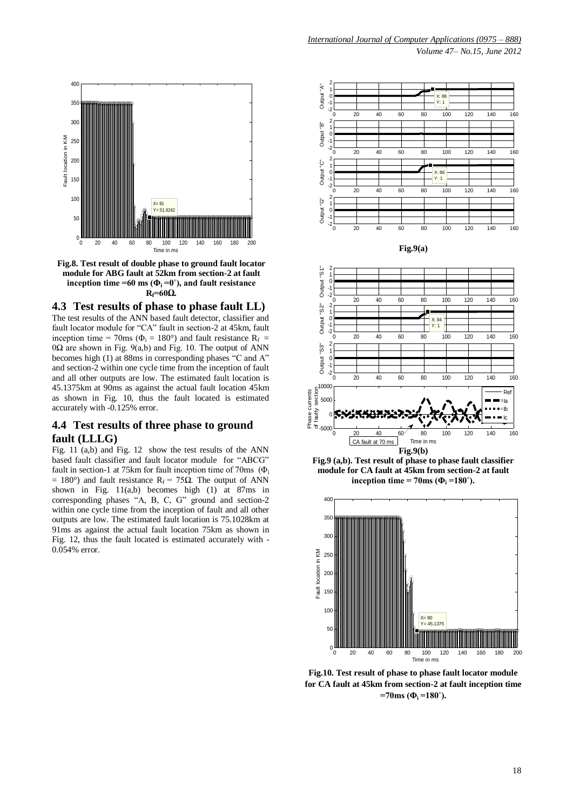

**Fig.8. Test result of double phase to ground fault locator module for ABG fault at 52km from section-2 at fault inception time =60 ms (** $\Phi_i = 0^\circ$ **), and fault resistance**  $R_f = 60\Omega$ .

**4.3 Test results of phase to phase fault LL)**

The test results of the ANN based fault detector, classifier and fault locator module for "CA" fault in section-2 at 45km, fault inception time = 70ms ( $\Phi_i$  = 180°) and fault resistance R<sub>f</sub> =  $0\Omega$  are shown in Fig. 9(a,b) and Fig. 10. The output of ANN becomes high (1) at 88ms in corresponding phases "C and A" and section-2 within one cycle time from the inception of fault and all other outputs are low. The estimated fault location is 45.1375km at 90ms as against the actual fault location 45km as shown in Fig. 10, thus the fault located is estimated accurately with -0.125% error.

## **4.4 Test results of three phase to ground fault (LLLG)**

Fig. 11 (a,b) and Fig. 12 show the test results of the ANN based fault classifier and fault locator module for "ABCG" fault in section-1 at 75km for fault inception time of 70ms  $(\Phi)$ .  $= 180°$ ) and fault resistance R<sub>f</sub> = 75Ω. The output of ANN shown in Fig. 11(a,b) becomes high (1) at 87ms in corresponding phases "A, B, C, G" ground and section-2 within one cycle time from the inception of fault and all other outputs are low. The estimated fault location is 75.1028km at 91ms as against the actual fault location 75km as shown in Fig. 12, thus the fault located is estimated accurately with - 0.054% error.



**inception time = 70ms (** $\Phi_i$  **=180°).** 

![](_page_4_Figure_9.jpeg)

**Fig.10. Test result of phase to phase fault locator module for CA fault at 45km from section-2 at fault inception time =70ms (Φ<sup>i</sup> =180˚).**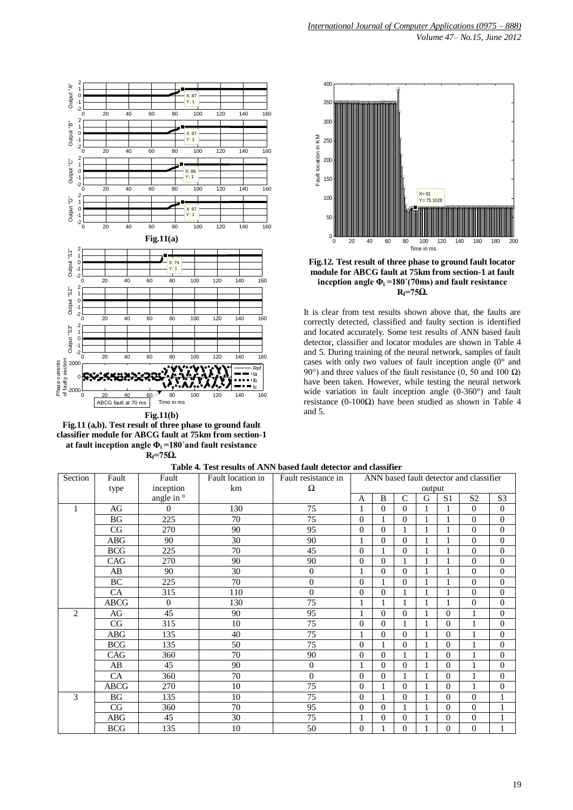![](_page_5_Figure_0.jpeg)

**Fig.11(b) Fig.11 (a,b). Test result of three phase to ground fault classifier module for ABCG fault at 75km from section-1 at fault inception angle Φ<sup>i</sup> =180˚and fault resistance**   $R_f = 75\Omega$ .

![](_page_5_Figure_2.jpeg)

*International Journal of Computer Applications (0975 – 888)*

*Volume 47– No.15, June 2012*

![](_page_5_Figure_3.jpeg)

**module for ABCG fault at 75km from section-1 at fault inception angle**  $\Phi_i = 180^\circ (70 \text{ ms})$  **and fault resistance**  $R = 75Ω$ .

It is clear from test results shown above that, the faults are correctly detected, classified and faulty section is identified and located accurately. Some test results of ANN based fault detector, classifier and locator modules are shown in Table 4 and 5. During training of the neural network, samples of fault cases with only two values of fault inception angle (0° and 90°) and three values of the fault resistance (0, 50 and 100 Ω) have been taken. However, while testing the neural network wide variation in fault inception angle (0-360°) and fault resistance (0-100Ω) have been studied as shown in Table 4 and 5.

| Section        | Fault       | Fault          | Fault location in | Fault resistance in | ANN based fault detector and classifier |              |                |              |                |                |                  |
|----------------|-------------|----------------|-------------------|---------------------|-----------------------------------------|--------------|----------------|--------------|----------------|----------------|------------------|
|                | type        | inception      | km                | Ω                   |                                         | output       |                |              |                |                |                  |
|                |             | angle in °     |                   |                     | A                                       | $\mathbf{B}$ | $\mathcal{C}$  | G            | S <sub>1</sub> | S <sub>2</sub> | S <sub>3</sub>   |
| 1              | AG          | $\overline{0}$ | 130               | 75                  | 1                                       | $\Omega$     | $\Omega$       | $\mathbf{1}$ | 1              | $\theta$       | $\overline{0}$   |
|                | <b>BG</b>   | 225            | 70                | 75                  | $\Omega$                                |              | $\theta$       | 1            | 1              | $\mathbf{0}$   | $\overline{0}$   |
|                | CG          | 270            | 90                | 95                  | $\Omega$                                | $\Omega$     | 1              |              | 1              | $\overline{0}$ | $\mathbf{0}$     |
|                | <b>ABG</b>  | 90             | 30                | 90                  | 1                                       | $\Omega$     | $\Omega$       | 1            |                | $\theta$       | $\boldsymbol{0}$ |
|                | <b>BCG</b>  | 225            | 70                | 45                  | $\Omega$                                | 1            | $\Omega$       | 1            |                | $\theta$       | $\mathbf{0}$     |
|                | CAG         | 270            | 90                | 90                  | $\theta$                                | 0            | 1              |              |                | $\overline{0}$ | $\overline{0}$   |
|                | AB          | 90             | 30                | $\overline{0}$      | 1                                       | $\Omega$     | $\overline{0}$ | $\mathbf{1}$ |                | $\overline{0}$ | $\boldsymbol{0}$ |
|                | BC          | 225            | 70                | $\overline{0}$      | $\Omega$                                |              | $\Omega$       | 1            | 1              | $\overline{0}$ | $\boldsymbol{0}$ |
|                | CA          | 315            | 110               | $\Omega$            | $\Omega$                                | $\Omega$     | 1              |              |                | $\overline{0}$ | $\boldsymbol{0}$ |
|                | <b>ABCG</b> | $\overline{0}$ | 130               | 75                  | 1                                       |              | 1              | $\mathbf{1}$ | $\mathbf{1}$   | $\overline{0}$ | $\overline{0}$   |
| $\overline{2}$ | AG          | 45             | 90                | 95                  | 1                                       | $\Omega$     | $\overline{0}$ | $\mathbf{1}$ | $\theta$       | $\mathbf{1}$   | $\overline{0}$   |
|                | CG          | 315            | 10                | 75                  | $\Omega$                                | $\Omega$     | 1              |              | $\Omega$       | 1              | $\overline{0}$   |
|                | <b>ABG</b>  | 135            | 40                | $\overline{75}$     | 1                                       | $\Omega$     | $\Omega$       |              | $\Omega$       | 1              | $\boldsymbol{0}$ |
|                | <b>BCG</b>  | 135            | 50                | 75                  | $\Omega$                                |              | $\overline{0}$ |              | $\theta$       | $\mathbf{1}$   | $\boldsymbol{0}$ |
|                | CAG         | 360            | 70                | 90                  | $\Omega$                                | $\Omega$     | $\mathbf{1}$   | $\mathbf{1}$ | $\theta$       | $\mathbf{1}$   | $\boldsymbol{0}$ |
|                | AB          | 45             | 90                | $\overline{0}$      | 1                                       | $\Omega$     | $\Omega$       | $\mathbf{1}$ | $\Omega$       | $\mathbf{1}$   | $\overline{0}$   |
|                | CA          | 360            | 70                | $\boldsymbol{0}$    | $\Omega$                                | $\Omega$     | $\mathbf{1}$   |              | $\Omega$       | $\mathbf{1}$   | $\boldsymbol{0}$ |
|                | <b>ABCG</b> | 270            | 10                | 75                  | $\Omega$                                | 1            | $\Omega$       | $\mathbf{1}$ | $\Omega$       | $\mathbf{1}$   | $\boldsymbol{0}$ |
| 3              | <b>BG</b>   | 135            | 10                | 75                  | $\Omega$                                | 1            | $\theta$       | $\mathbf{1}$ | $\Omega$       | $\mathbf{0}$   | $\mathbf{1}$     |
|                | CG          | 360            | 70                | 95                  | $\Omega$                                | $\Omega$     | $\mathbf{1}$   | 1            | $\Omega$       | $\Omega$       | $\mathbf{1}$     |
|                | <b>ABG</b>  | 45             | 30                | 75                  | 1                                       | $\Omega$     | $\theta$       |              | $\Omega$       | $\overline{0}$ | $\mathbf{1}$     |
|                | <b>BCG</b>  | 135            | 10                | 50                  | $\Omega$                                |              | $\Omega$       |              | $\Omega$       | $\theta$       | $\mathbf{1}$     |

**Table 4. Test results of ANN based fault detector and classifier**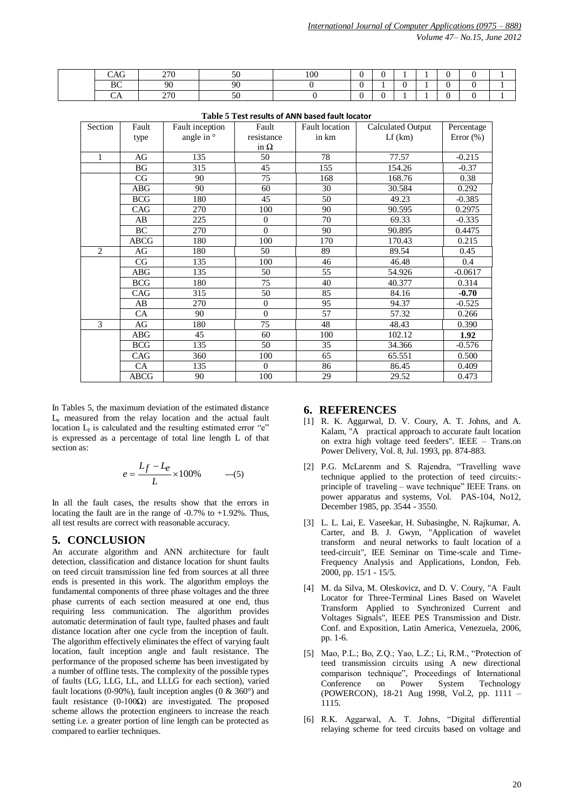*Volume 47– No.15, June 2012*

| $\sim$<br>w | 270<br><u>_</u> | $\sim$ $\sim$ | 100 |  |  |  |  |
|-------------|-----------------|---------------|-----|--|--|--|--|
| - -<br>LJV. | ۹ſ              | $\Omega$      |     |  |  |  |  |
|             | חדר<br>4 I V    | - -<br>◡      |     |  |  |  |  |

| Section        | Fault       | Fault inception  | Fault          | <b>Fault</b> location | <b>Calculated Output</b> | Percentage   |
|----------------|-------------|------------------|----------------|-----------------------|--------------------------|--------------|
|                | type        | angle in $\circ$ | resistance     | in km                 | Lf(km)                   | Error $(\%)$ |
|                |             |                  | in $\Omega$    |                       |                          |              |
| $\mathbf{1}$   | AG          | 135              | 50             | 78                    | 77.57                    | $-0.215$     |
|                | <b>BG</b>   | 315              | 45             | 155                   | 154.26                   | $-0.37$      |
|                | CG          | 90               | 75             | 168                   | 168.76                   | 0.38         |
|                | $\rm{ABG}$  | 90               | 60             | 30                    | 30.584                   | 0.292        |
|                | <b>BCG</b>  | 180              | 45             | 50                    | 49.23                    | $-0.385$     |
|                | CAG         | 270              | 100            | 90                    | 90.595                   | 0.2975       |
|                | AB          | 225              | $\Omega$       | 70                    | 69.33                    | $-0.335$     |
|                | <b>BC</b>   | 270              | $\theta$       | 90                    | 90.895                   | 0.4475       |
|                | <b>ABCG</b> | 180              | 100            | 170                   | 170.43                   | 0.215        |
| $\overline{2}$ | AG          | 180              | 50             | 89                    | 89.54                    | 0.45         |
|                | CG          | 135              | 100            | 46                    | 46.48                    | 0.4          |
|                | <b>ABG</b>  | 135              | 50             | 55                    | 54.926                   | $-0.0617$    |
|                | <b>BCG</b>  | 180              | 75             | 40                    | 40.377                   | 0.314        |
|                | CAG         | 315              | 50             | 85                    | 84.16                    | $-0.70$      |
|                | AB          | 270              | $\overline{0}$ | 95                    | 94.37                    | $-0.525$     |
|                | <b>CA</b>   | 90               | $\theta$       | 57                    | 57.32                    | 0.266        |
| 3              | AG          | 180              | 75             | 48                    | 48.43                    | 0.390        |
|                | <b>ABG</b>  | 45               | 60             | 100                   | 102.12                   | 1.92         |
|                | <b>BCG</b>  | 135              | 50             | 35                    | 34.366                   | $-0.576$     |
|                | CAG         | 360              | 100            | 65                    | 65.551                   | 0.500        |
|                | CA          | 135              | $\Omega$       | 86                    | 86.45                    | 0.409        |
|                | <b>ABCG</b> | 90               | 100            | 29                    | 29.52                    | 0.473        |

**Table 5 Test results of ANN based fault locator**

In Tables 5, the maximum deviation of the estimated distance L<sup>e</sup> measured from the relay location and the actual fault location  $L_f$  is calculated and the resulting estimated error "e" is expressed as a percentage of total line length L of that section as:

$$
e = \frac{L_f - L_e}{L} \times 100\% \qquad ---(5)
$$

In all the fault cases, the results show that the errors in locating the fault are in the range of -0.7% to +1.92%. Thus, all test results are correct with reasonable accuracy.

# **5. CONCLUSION**

An accurate algorithm and ANN architecture for fault detection, classification and distance location for shunt faults on teed circuit transmission line fed from sources at all three ends is presented in this work. The algorithm employs the fundamental components of three phase voltages and the three phase currents of each section measured at one end, thus requiring less communication. The algorithm provides automatic determination of fault type, faulted phases and fault distance location after one cycle from the inception of fault. The algorithm effectively eliminates the effect of varying fault location, fault inception angle and fault resistance. The performance of the proposed scheme has been investigated by a number of offline tests. The complexity of the possible types of faults (LG, LLG, LL, and LLLG for each section), varied fault locations (0-90%), fault inception angles (0  $\&$  360 $^{\circ}$ ) and fault resistance (0-100Ω) are investigated. The proposed scheme allows the protection engineers to increase the reach setting i.e. a greater portion of line length can be protected as compared to earlier techniques.

## **6. REFERENCES**

- [1] R. K. Aggarwal, D. V. Coury, A. T. Johns, and A. Kalam, "A practical approach to accurate fault location on extra high voltage teed feeders". IEEE – Trans.on Power Delivery, Vol. 8, Jul. 1993, pp. 874-883.
- [2] P.G. McLarenm and S. Rajendra, "Travelling wave technique applied to the protection of teed circuits: principle of traveling – wave technique" IEEE Trans. on power apparatus and systems, Vol. PAS-104, No12, December 1985, pp. 3544 - 3550.
- [3] L. L. Lai, E. Vaseekar, H. Subasinghe, N. Rajkumar, A. Carter, and B. J. Gwyn, "Application of wavelet transform and neural networks to fault location of a teed-circuit", IEE Seminar on Time-scale and Time-Frequency Analysis and Applications, London, Feb. 2000, pp. 15/1 - 15/5.
- [4] M. da Silva, M. Oleskovicz, and D. V. Coury, "A Fault Locator for Three-Terminal Lines Based on Wavelet Transform Applied to Synchronized Current and Voltages Signals", IEEE PES Transmission and Distr. Conf. and Exposition, Latin America, Venezuela, 2006, pp. 1-6.
- [5] Mao, P.L.; Bo, Z.Q.; Yao, L.Z.; Li, R.M., "Protection of teed transmission circuits using A new directional comparison technique", Proceedings of International Conference on Power System Technology (POWERCON), 18-21 Aug 1998, Vol.2, pp. 1111 – 1115.
- [6] R.K. Aggarwal, A. T. Johns, "Digital differential relaying scheme for teed circuits based on voltage and